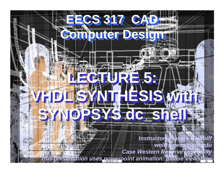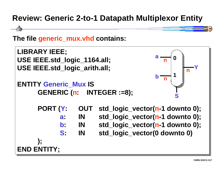## **Review: Generic 2-to-1 Datapath Multiplexor Entity**



**The file generic\_mux.vhd contains:**

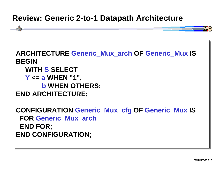## **Review: Generic 2-to-1 Datapath Architecture**

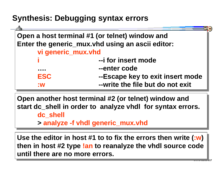## **Synthesis: Debugging syntax errors**

| Open a host terminal #1 (or telnet) window and   |                                  |  |
|--------------------------------------------------|----------------------------------|--|
| Enter the generic_mux.vhd using an ascii editor: |                                  |  |
| vi generic_mux.vhd                               |                                  |  |
|                                                  | --i for insert mode              |  |
|                                                  | --enter code                     |  |
| <b>ESC</b>                                       | --Escape key to exit insert mode |  |
| $\blacksquare$                                   | --write the file but do not exit |  |

**Open another host terminal #2 (or telnet) window and Open another host terminal #2 (or telnet) window and start dc\_shell in order to analyze vhdl for syntax errors. start dc\_shell in order to analyze vhdl for syntax errors.**

**dc\_shell dc\_shell**

**> analyze -f vhdl generic\_mux.vhd > analyze -f vhdl generic\_mux.vhd**

**Use the editor in host #1 to to fix the errors then write (:w) Use the editor in host #1 to to fix the errors then write (:w ) then in host #2 type !an to reanalyze the vhdl source code then in host #2 type !an to reanalyze the vhdl source code until there are no more errors. until there are no more errors.**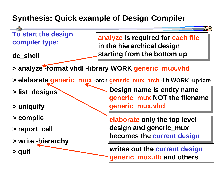## **Synthesis: Quick example of Design Compiler**

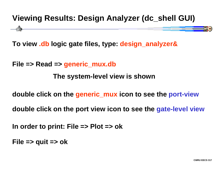## **Viewing Results: Design Analyzer (dc\_shell GUI)**

**To view .db logic gate files, type: design\_analyzer&**

**File => Read => generic\_mux.db**

**The system-level view is shown**

**double click on the generic\_mux icon to see the port-view**

**double click on the port view icon to see the gate-level view**

**In order to print: File => Plot => ok**

**File => quit => ok**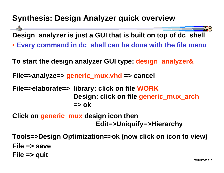## **Synthesis: Design Analyzer quick overview**

**Design\_analyzer is just a GUI that is built on top of dc\_shell**

• **Every command in dc\_shell can be done with the file menu**

**To start the design analyzer GUI type: design\_analyzer&**

**File=>analyze=> generic\_mux.vhd => cancel**

**File=>elaborate=> library: click on file WORK Design: click on file generic\_mux\_arch => ok**

**Click on generic\_mux design icon then Edit=>Uniquify=>Hierarchy**

**Tools=>Design Optimization=>ok (now click on icon to view) File => saveFile => quit**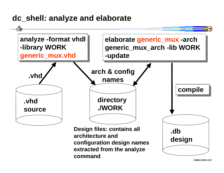## **dc\_shell: analyze and elaborate**



**CWRU EECS 317**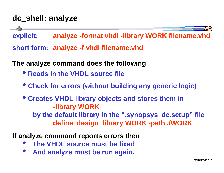## **dc\_shell: analyze**

**explicit: analyze -format vhdl -library WORK filename.vhd**

**short form: analyze -f vhdl filename.vhd**

**The analyze command does the following**

- **Reads in the VHDL source file**
- **Check for errors (without building any generic logic)**
- **Creates VHDL library objects and stores them in -library WORK by the default library in the ".synopsys\_dc.setup" file define\_design\_library WORK -path ./WORK**

**If analyze command reports errors then**

- $\bullet$ **The VHDL source must be fixed**
- • **And analyze must be run again.**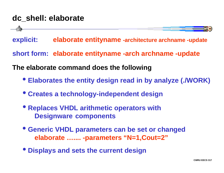## **dc\_shell: elaborate**

**explicit: elaborate entityname -architecture archname -update**

**short form: elaborate entityname -arch archname -update**

**The elaborate command does the following**

- **Elaborates the entity design read in by analyze (./WORK)**
- **Creates a technology-independent design**
- **Replaces VHDL arithmetic operators with Designware components**
- • **Generic VHDL parameters can be set or changed elaborate ….... -parameters "N=1,Cout=2"**
- • **Displays and sets the current design**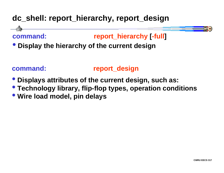## **dc\_shell: report\_hierarchy, report\_design**

## **command: report\_hierarchy [-full ]**

• **Display the hierarchy of the current design**

#### **command: report\_design**

- • **Displays attributes of the current design, such as:**
- • **Technology library, flip-flop types, operation conditions**
- • **Wire load model, pin delays**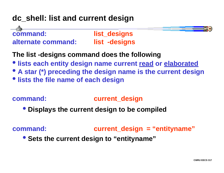## **dc\_shell: list and current design**



## **The list -designs command does the following**

- **lists each entity design name current read or elaborated**
- • **A star (\*) preceding the design name is the current design**
- • **lists the file name of each design**

#### **command: current\_design**

• **Displays the current design to be compiled**

**command: current\_design = "entityname"**

 $\bullet$ **Sets the current design to "entityname"**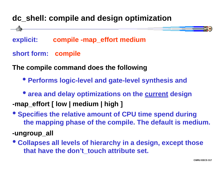## **dc\_shell: compile and design optimization**

**explicit: compile -map\_effort medium**

#### **short form: compile**

**The compile command does the following**

• **Performs logic-level and gate-level synthesis and**

 $\bullet$ **area and delay optimizations on the current design**

**-map\_effort [ low | medium | high ]**

- • **Specifies the relative amount of CPU time spend during the mapping phase of the compile. The default is medium.**
- **-ungroup\_all**
- • **Collapses all levels of hierarchy in a design, except those that have the don't\_touch attribute set.**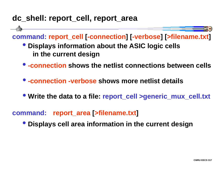## **dc\_shell: report\_cell, report\_area**

#### **command: report\_cell [-connection ] [-verbose ] [>filename.txt ]**

- • **Displays information about the ASIC logic cells in the current design**
- **-connection shows the netlist connections between cells**
- **-connection -verbose shows more netlist details**
- • **Write the data to a file: report\_cell >generic\_mux\_cell.txt**

#### **command:report\_area [>filename.txt ]**

• **Displays cell area information in the current design**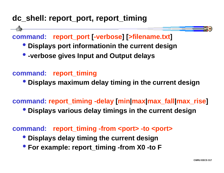## **dc\_shell: report\_port, report\_timing**

#### **command:report\_port [-verbose ] [>filename.txt ]**

- • **Displays port informationin the current design**
- • **-verbose gives Input and Output delays**

#### **command: report\_timing**

• **Displays maximum delay timing in the current design**

#### **command: report\_timing -delay [min|max|max\_fall|max\_rise ]**

• **Displays various delay timings in the current design**

**command: report\_timing -from <port> -to <port>**

- • **Displays delay timing the current design**
- • **For example: report\_timing -from X0 -to F**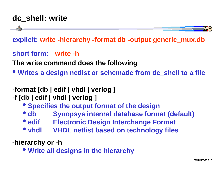## **dc\_shell: write**



**short form: write -h**

**The write command does the following**

- **Writes a design netlist or schematic from dc\_shell to a file**
- **-format [db | edif | vhdl | verlog ]**
- **-f [db | edif | vhdl | verlog ]**
	- • **Specifies the output format of the design**
	- • **db Synopsys internal database format (default)**
	- • **edif Electronic Design Interchange Format**
	- • **vhdl VHDL netlist based on technology files**

**-hierarchy or -h**

• **Write all designs in the hierarchy**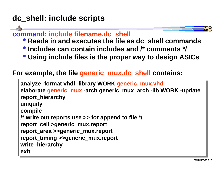## **dc\_shell: include scripts**

#### **command: include filename.dc\_shell**

- • **Reads in and executes the file as dc\_shell commands**
- • **Includes can contain includes and /\* comments \*/**
- • **Using include files is the proper way to design ASICs**

#### **For example, the file generic\_mux.dc\_shell contains:**

**analyze -format vhdl -library WORK generic\_mux.vhd analyze -format vhdl -library WORK generic\_mux.vhd elaborate generic\_mux -arch generic\_mux\_arch -lib WORK -update elaborate generic\_mux -arch generic\_mux\_arch -lib WORK -update report\_hierarchy report\_hierarchy uniquify uniquify compile compile /\* write out reports use >> for append to file \*/ /\* write out reports use >> for append to file \*/ report\_cell >generic\_mux.report report\_cell >generic\_mux.report report\_area >>generic\_mux.report report\_area >>generic\_mux.report report\_timing >>generic\_mux.report report\_timing >>generic\_mux.report write -hierarchy write -hierarchy exitexit**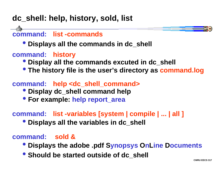## **dc\_shell: help, history, sold, list**

## **command: list -commands**

- • **Displays all the commands in dc\_shell**
- **command: history**
	- • **Display all the commands excuted in dc\_shell**
	- • **The history file is the user's directory as command.log**

#### **command: help <dc\_shell\_command>**

- • **Display dc\_shell command help**
- • **For example: help report\_area**

#### **command: list -variables [system | compile | ... | all ]**

• **Displays all the variables in dc\_shell**

#### **command: sold &**

- **<sup><b>•**</sup> Displays the adobe .pdf Synopsys OnLine Documents
- • **Should be started outside of dc\_shell**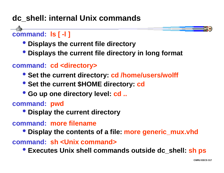## **dc\_shell: internal Unix commands**

**command: ls [ -l ]**

- • **Displays the current file directory**
- • **Displays the current file directory in long format**

#### **command: cd <directory>**

- • **Set the current directory: cd /home/users/wolff**
- • **Set the current \$HOME directory: cd**
- • **Go up one directory level: cd ..**

**command: pwd**

• **Display the current directory**

#### **command: more filename**

• **Display the contents of a file: more generic\_mux.vhd**

**command: sh <Unix command>**

• **Executes Unix shell commands outside dc\_shell: sh ps**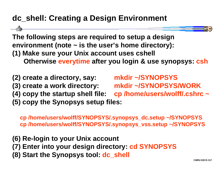## **dc\_shell: Creating a Design Environment**

**The following steps are required to setup a design environment (note ~ is the user's home directory): (1) Make sure your Unix account uses cshell Otherwise everytime after you login & use synopsys: csh**

- **(2) create a directory, say: mkdir ~/SYNOPSYS**
- 

**(3) create a work directory: mkdir ~/SYNOPSYS/WORK (4) copy the startup shell file: cp /home/users/wolff/.cshrc ~ (5) copy the Synopsys setup files:**

**cp /home/users/wolff/SYNOPSYS/.synopsys\_dc.setup ~/SYNOPSYS cp /home/users/wolff/SYNOPSYS/.synopsys\_vss.setup ~/SYNOPSYS**

- **(6) Re-login to your Unix account**
- **(7) Enter into your design directory: cd SYNOPSYS**
- **(8) Start the Synopsys tool: dc\_shell**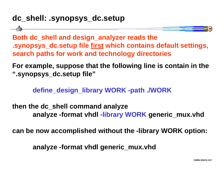## **dc\_shell: .synopsys\_dc.setup**

**Both dc\_shell and design\_analyzer reads the .synopsys\_dc.setup file first which contains default settings, search paths for work and technology directories**

**For example, suppose that the following line is contain in the ".synopsys\_dc.setup file"**

**define\_design\_library WORK -path ./WORK**

**then the dc\_shell command analyze analyze -format vhdl -library WORK generic\_mux.vhd**

**can be now accomplished without the -library WORK option:**

**analyze -format vhdl generic\_mux.vhd**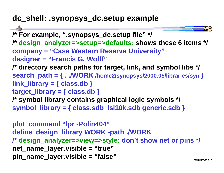## **dc\_shell: .synopsys\_dc.setup example**

```
/* For example, ".synopsys_dc.setup file" */
/* design_analyzer=>setup=>defaults: shows these 6 items */
company = "Case Western Reserve University"
designer = "Francis G. Wolff"
/* directory search paths for target, link, and symbol libs */
search_path = { . ./WORK /home2/synopsys/2000.05/libraries/syn 
}
link_library = { class.db }
target_library = { class.db }
/* symbol library contains graphical logic symbols */
symbol_library = { class.sdb lsi10k.sdb generic.sdb }
```
**plot\_command "lpr -Polin404" define\_design\_library WORK -path ./WORK /\* design\_analyzer=>view=>style: don't show net or pins \*/ net\_name\_layer.visible = "true" pin\_name\_layer.visible = "false"**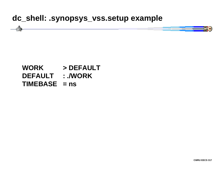#### **dc\_shell: .synopsys\_vss.setup example**



#### **WORK > DEFAULT DEFAULT : ./WORK TIMEBASE = ns**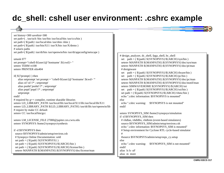## **dc\_shell: cshell user environment: .cshrc example**

| set history=300 savehist=300                                                |                                                                                                                                                                                                                                                                                                                                                                                                                            |
|-----------------------------------------------------------------------------|----------------------------------------------------------------------------------------------------------------------------------------------------------------------------------------------------------------------------------------------------------------------------------------------------------------------------------------------------------------------------------------------------------------------------|
| set path=(./usr/ucb/bin/usr/bin/usr/local/bin/usr/ccs/bin)                  |                                                                                                                                                                                                                                                                                                                                                                                                                            |
| set path=(\${path}/usr/local/sbin /usr/sbin /sbin)                          |                                                                                                                                                                                                                                                                                                                                                                                                                            |
| set path=(\${path} /usr/bin/X11 /usr/X/bin /usr/X/demo)                     |                                                                                                                                                                                                                                                                                                                                                                                                                            |
| # solaris paths                                                             |                                                                                                                                                                                                                                                                                                                                                                                                                            |
| set path=(\${path}/usr/dt/bin/usr/openwin/bin/usr/dt/appconfig/netscape)    |                                                                                                                                                                                                                                                                                                                                                                                                                            |
|                                                                             | # design_analyzer, dc_shell, fpga_shell, bc_shell                                                                                                                                                                                                                                                                                                                                                                          |
| umask 077                                                                   | set path = $(\frac{1}{2} \ast \frac{1}{2} \ast \frac{1}{2} \ast \frac{1}{2} \ast \frac{1}{2} \ast \frac{1}{2} \ast \frac{1}{2} \ast \frac{1}{2} \ast \frac{1}{2} \ast \frac{1}{2} \ast \frac{1}{2} \ast \frac{1}{2} \ast \frac{1}{2} \ast \frac{1}{2} \ast \frac{1}{2} \ast \frac{1}{2} \ast \frac{1}{2} \ast \frac{1}{2} \ast \frac{1}{2} \ast \frac{1}{2} \ast \frac{1}{2} \ast \frac{1}{2} \ast \frac{1}{2} \ast \frac$ |
| set prompt="cshell-\${user}@'hostname':\${cwd}>"                            | setenv MANPATH \${MANPATH}:\${SYNOPSYS}/doc/syn/man                                                                                                                                                                                                                                                                                                                                                                        |
| seteny TERM vt100                                                           | setenv MANPATH \${MANPATH}:\${SYNOPSYS}/doc/pt/man                                                                                                                                                                                                                                                                                                                                                                         |
| seteny PRINTER olin404                                                      | # designware                                                                                                                                                                                                                                                                                                                                                                                                               |
|                                                                             | set path = $(${path}$ $$(SYNOPSYS)/$(ARCH)/dware/bin)$                                                                                                                                                                                                                                                                                                                                                                     |
| if( $\{\$ ?prompt}) then                                                    | set path = $(\${path}$ $$(SYNOPSYS)/$(ARCH)/pc/bin)$                                                                                                                                                                                                                                                                                                                                                                       |
| alias setprompt 'set prompt = "cshell-\${user} @ `hostname`:\$cwd> "'       | setenv MANPATH \${MANPATH}:\${SYNOPSYS}/doc/pc/man                                                                                                                                                                                                                                                                                                                                                                         |
| alias cd 'cd \!* ; setprompt'                                               | setenv MANPATH \${MANPATH}:\${SYNOPSYS}/doc/motif/man                                                                                                                                                                                                                                                                                                                                                                      |
| alias pushd 'pushd \!*; setprompt'                                          | setenv SIMWAVEHOME \${SYNOPSYS}/\${ARCH}/ssi                                                                                                                                                                                                                                                                                                                                                                               |
| alias popd 'popd \!*; setprompt'                                            | set path = $($[path] $[SYNOPSYS]/$[ARCH]/ssi/bin)$                                                                                                                                                                                                                                                                                                                                                                         |
| setprompt                                                                   | set path = (\${path} \${SYNOPSYS}/\${ARCH}/vhmc/bin)                                                                                                                                                                                                                                                                                                                                                                       |
| endif                                                                       | echo ".cshrc information: \$SYNOPSYS is mounted"                                                                                                                                                                                                                                                                                                                                                                           |
| # required by $g++$ compiler, runtime sharable libraries                    | else                                                                                                                                                                                                                                                                                                                                                                                                                       |
| setenv LD_LIBRARY_PATH /usr/local/lib:/usr/local/X11/lib:/usr/local/lib/X11 | echo ".cshrc warning:<br>\$SYNOPSYS is not mounted"                                                                                                                                                                                                                                                                                                                                                                        |
| setenv LD_LIBRARY_PATH \${LD_LIBRARY_PATH}:/usr/dt/lib:/usr/openwin/lib     | endif                                                                                                                                                                                                                                                                                                                                                                                                                      |
| # require by make CC default<br>setenv CC /usr/local/bin/gcc                |                                                                                                                                                                                                                                                                                                                                                                                                                            |
|                                                                             | setenv SYNOPSYS_SIM /home2/synopsys/simulation<br>if -d \$SYNOPSYS_SIM then                                                                                                                                                                                                                                                                                                                                                |
| setenv LM_LICENSE_FILE 27000@jupiter.ces.cwru.edu                           | # vhdlan, vhdldbx, vhdlsim (event-based simulators)                                                                                                                                                                                                                                                                                                                                                                        |
| setenv SYNOPSYS /home2/synopsys/synthesis                                   | source \$SYNOPSYS_SIM/admin/setup/environ.csh                                                                                                                                                                                                                                                                                                                                                                              |
|                                                                             | echo ".cshrc information: \$SYNOPSYS_SIM is mounted"                                                                                                                                                                                                                                                                                                                                                                       |
| if -d \$SYNOPSYS then                                                       | # Setup environment for Cyclone RTL cycle-based simulator                                                                                                                                                                                                                                                                                                                                                                  |
| source \$SYNOPSYS/admin/setup/environ.csh                                   |                                                                                                                                                                                                                                                                                                                                                                                                                            |
| # Synopsys Online Documentation: sold                                       | #source \$SYNOPSYS/admin/setup/snps_cy.setup                                                                                                                                                                                                                                                                                                                                                                               |
| set path = $({\frac{\sqrt{8}}{\pi h}} {\frac{\sqrt{8}}{\sqrt{8}}}$          | else                                                                                                                                                                                                                                                                                                                                                                                                                       |
| set path = $(\${path}$ $$(SYNOPSYS)/$(ARCH)/bin)$                           | \$SYNOPSYS_SIM is not mounted"<br>echo ".cshrc warning:                                                                                                                                                                                                                                                                                                                                                                    |
|                                                                             | endif                                                                                                                                                                                                                                                                                                                                                                                                                      |
| setenv MANPATH \${MANPATH}:\${SYNOPSYS}/doc/license/man                     | alias 1s 1s -aF                                                                                                                                                                                                                                                                                                                                                                                                            |
|                                                                             | alias m more                                                                                                                                                                                                                                                                                                                                                                                                               |